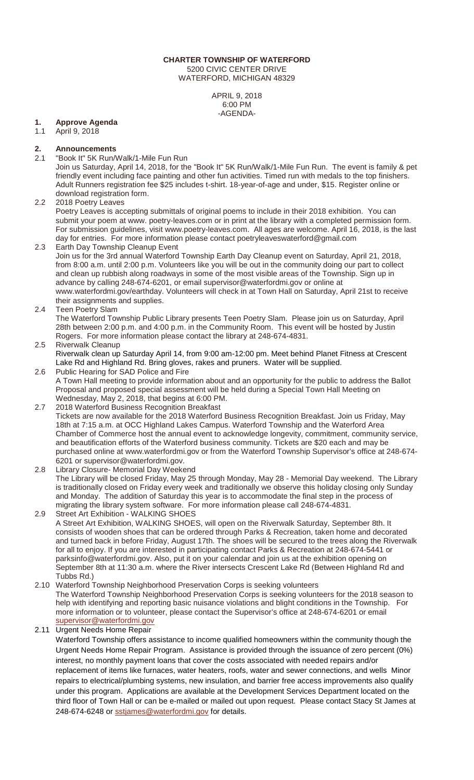#### **CHARTER TOWNSHIP OF WATERFORD** 5200 CIVIC CENTER DRIVE

WATERFORD, MICHIGAN 48329

APRIL 9, 2018 6:00 PM -AGENDA-

# **1. Approve Agenda**

April 9, 2018

# **2. Announcements**

"Book It" 5K Run/Walk/1-Mile Fun Run

Join us Saturday, April 14, 2018, for the "Book It" 5K Run/Walk/1-Mile Fun Run. The event is family & pet friendly event including face painting and other fun activities. Timed run with medals to the top finishers. Adult Runners registration fee \$25 includes t-shirt. 18-year-of-age and under, \$15. Register online or download registration form.

# 2.2 2018 Poetry Leaves

Poetry Leaves is accepting submittals of original poems to include in their 2018 exhibition. You can submit your poem at www. poetry-leaves.com or in print at the library with a completed permission form. For submission guidelines, visit www.poetry-leaves.com. All ages are welcome. April 16, 2018, is the last day for entries. For more information please contact poetryleaveswaterford@gmail.com

2.3 Earth Day Township Cleanup Event Join us for the 3rd annual Waterford Township Earth Day Cleanup event on Saturday, April 21, 2018, from 8:00 a.m. until 2:00 p.m. Volunteers like you will be out in the community doing our part to collect and clean up rubbish along roadways in some of the most visible areas of the Township. Sign up in advance by calling 248-674-6201, or email supervisor@waterfordmi.gov or online at www.waterfordmi.gov/earthday. Volunteers will check in at Town Hall on Saturday, April 21st to receive their assignments and supplies.

2.4 Teen Poetry Slam

The Waterford Township Public Library presents Teen Poetry Slam. Please join us on Saturday, April 28th between 2:00 p.m. and 4:00 p.m. in the Community Room. This event will be hosted by Justin Rogers. For more information please contact the library at 248-674-4831.

### 2.5 Riverwalk Cleanup

Riverwalk clean up Saturday April 14, from 9:00 am-12:00 pm. Meet behind Planet Fitness at Crescent Lake Rd and Highland Rd. Bring gloves, rakes and pruners. Water will be supplied. 2.6 Public Hearing for SAD Police and Fire

- A Town Hall meeting to provide information about and an opportunity for the public to address the Ballot Proposal and proposed special assessment will be held during a Special Town Hall Meeting on Wednesday, May 2, 2018, that begins at 6:00 PM.
- 2.7 2018 Waterford Business Recognition Breakfast Tickets are now available for the 2018 Waterford Business Recognition Breakfast. Join us Friday, May 18th at 7:15 a.m. at OCC Highland Lakes Campus. Waterford Township and the Waterford Area Chamber of Commerce host the annual event to acknowledge longevity, commitment, community service, and beautification efforts of the Waterford business community. Tickets are \$20 each and may be purchased online at www.waterfordmi.gov or from the Waterford Township Supervisor's office at 248-674- 6201 or supervisor@waterfordmi.gov.
- 2.8 Library Closure- Memorial Day Weekend The Library will be closed Friday, May 25 through Monday, May 28 - Memorial Day weekend. The Library is traditionally closed on Friday every week and traditionally we observe this holiday closing only Sunday and Monday. The addition of Saturday this year is to accommodate the final step in the process of migrating the library system software. For more information please call 248-674-4831.

2.9 Street Art Exhibition - WALKING SHOES A Street Art Exhibition, WALKING SHOES, will open on the Riverwalk Saturday, September 8th. It consists of wooden shoes that can be ordered through Parks & Recreation, taken home and decorated and turned back in before Friday, August 17th. The shoes will be secured to the trees along the Riverwalk for all to enjoy. If you are interested in participating contact Parks & Recreation at 248-674-5441 or parksinfo@waterfordmi.gov. Also, put it on your calendar and join us at the exhibition opening on September 8th at 11:30 a.m. where the River intersects Crescent Lake Rd (Between Highland Rd and Tubbs Rd.)

2.10 Waterford Township Neighborhood Preservation Corps is seeking volunteers The Waterford Township Neighborhood Preservation Corps is seeking volunteers for the 2018 season to help with identifying and reporting basic nuisance violations and blight conditions in the Township. For more information or to volunteer, please contact the Supervisor's office at 248-674-6201 or email [supervisor@waterfordmi.gov](mailto:supervisor@waterfordmi.gov)

2.11 Urgent Needs Home Repair

Waterford Township offers assistance to income qualified homeowners within the community though the Urgent Needs Home Repair Program. Assistance is provided through the issuance of zero percent (0%) interest, no monthly payment loans that cover the costs associated with needed repairs and/or replacement of items like furnaces, water heaters, roofs, water and sewer connections, and wells Minor repairs to electrical/plumbing systems, new insulation, and barrier free access improvements also qualify under this program. Applications are available at the Development Services Department located on the third floor of Town Hall or can be e-mailed or mailed out upon request. Please contact Stacy St James at 248-674-6248 or [sstjames@waterfordmi.gov](mailto:sstjames@waterfordmi.gov) for details.